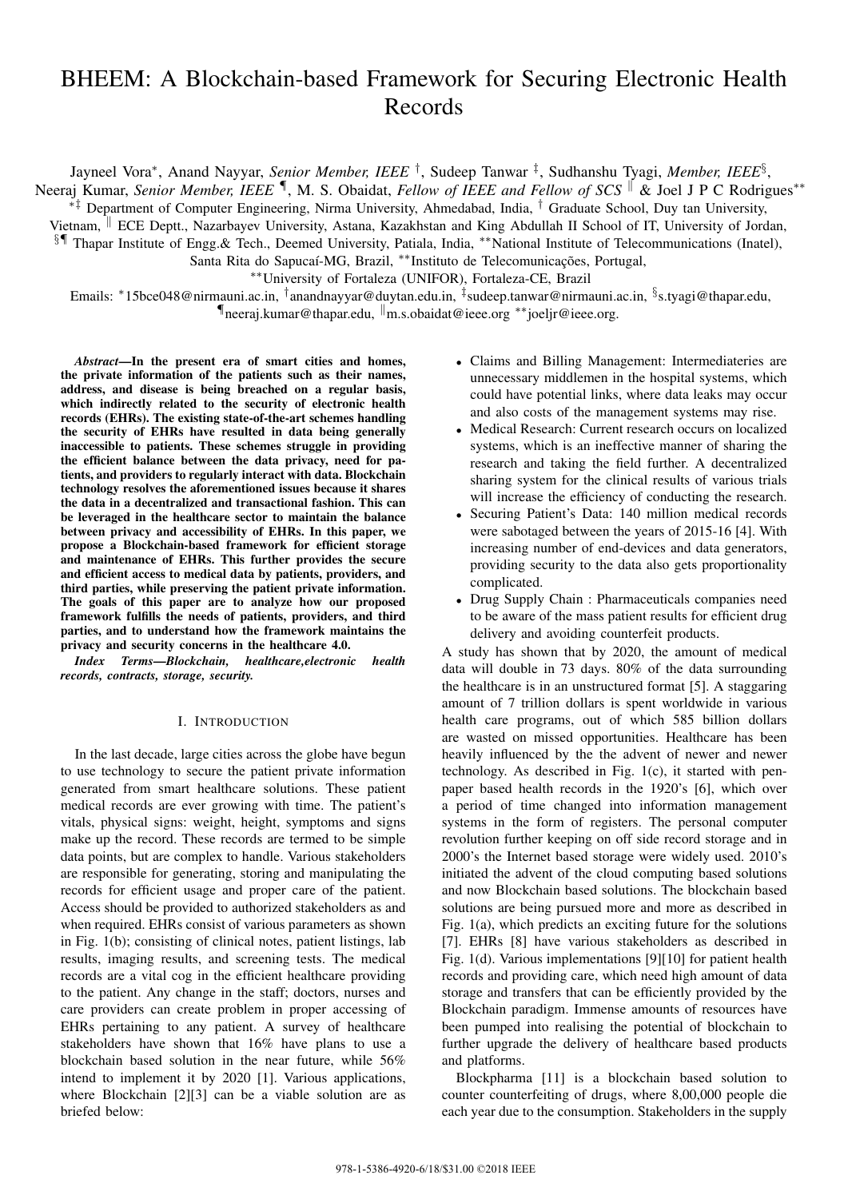# BHEEM: A Blockchain-based Framework for Securing Electronic Health Records

Jayneel Vora*∗* , Anand Nayyar, *Senior Member, IEEE †* , Sudeep Tanwar *‡* , Sudhanshu Tyagi, *Member, IEEE§* ,

Neeraj Kumar, *Senior Member, IEEE ¶* , M. S. Obaidat, *Fellow of IEEE and Fellow of SCS ∥* & Joel J P C Rodrigues*∗∗*

*∗‡* Department of Computer Engineering, Nirma University, Ahmedabad, India, *†* Graduate School, Duy tan University, Vietnam, *∥* ECE Deptt., Nazarbayev University, Astana, Kazakhstan and King Abdullah II School of IT, University of Jordan,

*§¶* Thapar Institute of Engg.& Tech., Deemed University, Patiala, India, *∗∗*National Institute of Telecommunications (Inatel),

Santa Rita do Sapucaí-MG, Brazil, *∗∗*Instituto de Telecomunicações, Portugal,

*∗∗*University of Fortaleza (UNIFOR), Fortaleza-CE, Brazil

Emails: *∗*15bce048@nirmauni.ac.in, *†* anandnayyar@duytan.edu.in, *‡* sudeep.tanwar@nirmauni.ac.in, *§* s.tyagi@thapar.edu, *¶*neeraj.kumar@thapar.edu, *∥*m.s.obaidat@ieee.org *∗∗*joeljr@ieee.org.

*Abstract*—In the present era of smart cities and homes, the private information of the patients such as their names, address, and disease is being breached on a regular basis, which indirectly related to the security of electronic health records (EHRs). The existing state-of-the-art schemes handling the security of EHRs have resulted in data being generally inaccessible to patients. These schemes struggle in providing the efficient balance between the data privacy, need for patients, and providers to regularly interact with data. Blockchain technology resolves the aforementioned issues because it shares the data in a decentralized and transactional fashion. This can be leveraged in the healthcare sector to maintain the balance between privacy and accessibility of EHRs. In this paper, we propose a Blockchain-based framework for efficient storage and maintenance of EHRs. This further provides the secure and efficient access to medical data by patients, providers, and third parties, while preserving the patient private information. The goals of this paper are to analyze how our proposed framework fulfills the needs of patients, providers, and third parties, and to understand how the framework maintains the privacy and security concerns in the healthcare 4.0.

*Index Terms*—*Blockchain, healthcare,electronic health records, contracts, storage, security.*

# I. INTRODUCTION

In the last decade, large cities across the globe have begun to use technology to secure the patient private information generated from smart healthcare solutions. These patient medical records are ever growing with time. The patient's vitals, physical signs: weight, height, symptoms and signs make up the record. These records are termed to be simple data points, but are complex to handle. Various stakeholders are responsible for generating, storing and manipulating the records for efficient usage and proper care of the patient. Access should be provided to authorized stakeholders as and when required. EHRs consist of various parameters as shown in Fig. 1(b); consisting of clinical notes, patient listings, lab results, imaging results, and screening tests. The medical records are a vital cog in the efficient healthcare providing to the patient. Any change in the staff; doctors, nurses and care providers can create problem in proper accessing of EHRs pertaining to any patient. A survey of healthcare stakeholders have shown that 16% have plans to use a blockchain based solution in the near future, while 56% intend to implement it by 2020 [1]. Various applications, where Blockchain [2][3] can be a viable solution are as briefed below:

- *•* Claims and Billing Management: Intermediateries are unnecessary middlemen in the hospital systems, which could have potential links, where data leaks may occur and also costs of the management systems may rise.
- *•* Medical Research: Current research occurs on localized systems, which is an ineffective manner of sharing the research and taking the field further. A decentralized sharing system for the clinical results of various trials will increase the efficiency of conducting the research.
- *•* Securing Patient's Data: 140 million medical records were sabotaged between the years of 2015-16 [4]. With increasing number of end-devices and data generators, providing security to the data also gets proportionality complicated.
- *•* Drug Supply Chain : Pharmaceuticals companies need to be aware of the mass patient results for efficient drug delivery and avoiding counterfeit products.

A study has shown that by 2020, the amount of medical data will double in 73 days. 80% of the data surrounding the healthcare is in an unstructured format [5]. A staggaring amount of 7 trillion dollars is spent worldwide in various health care programs, out of which 585 billion dollars are wasted on missed opportunities. Healthcare has been heavily influenced by the the advent of newer and newer technology. As described in Fig. 1(c), it started with penpaper based health records in the 1920's [6], which over a period of time changed into information management systems in the form of registers. The personal computer revolution further keeping on off side record storage and in 2000's the Internet based storage were widely used. 2010's initiated the advent of the cloud computing based solutions and now Blockchain based solutions. The blockchain based solutions are being pursued more and more as described in Fig. 1(a), which predicts an exciting future for the solutions [7]. EHRs [8] have various stakeholders as described in Fig. 1(d). Various implementations [9][10] for patient health records and providing care, which need high amount of data storage and transfers that can be efficiently provided by the Blockchain paradigm. Immense amounts of resources have been pumped into realising the potential of blockchain to further upgrade the delivery of healthcare based products and platforms.

Blockpharma [11] is a blockchain based solution to counter counterfeiting of drugs, where 8,00,000 people die each year due to the consumption. Stakeholders in the supply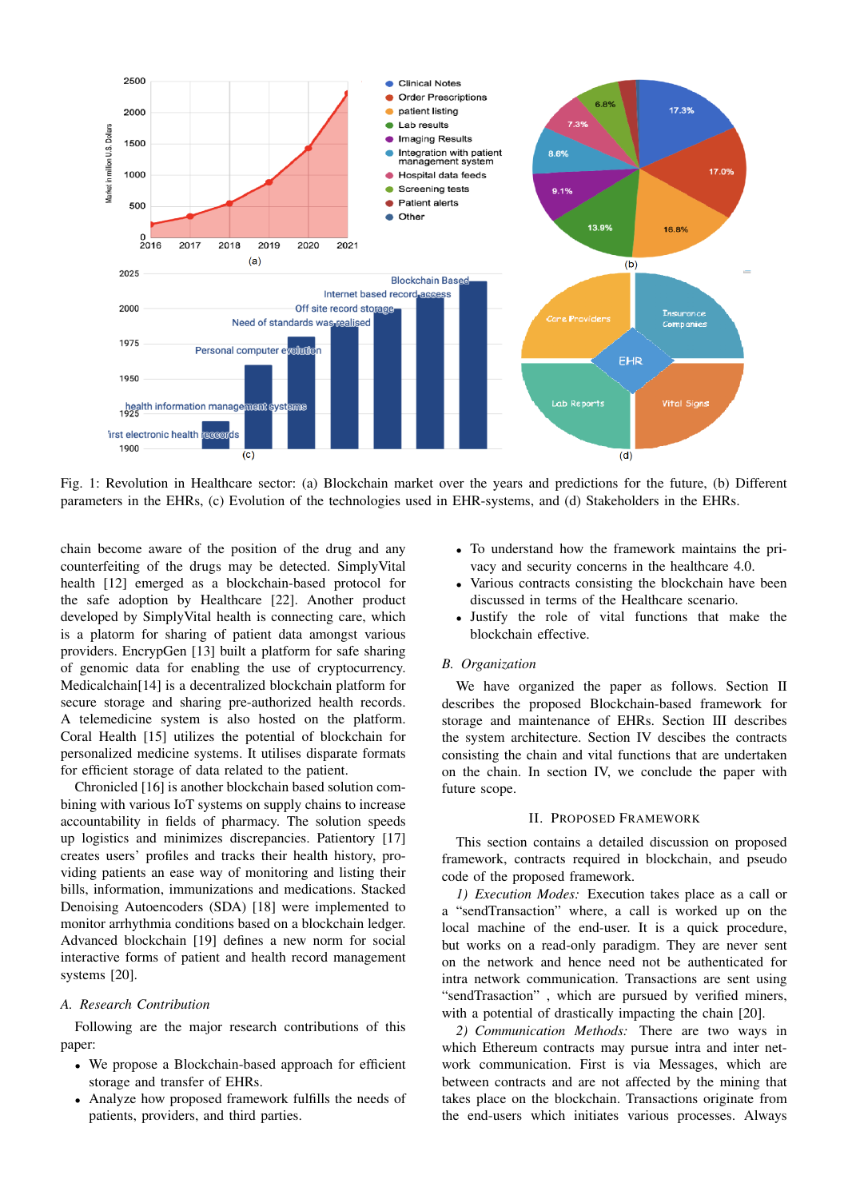

Fig. 1: Revolution in Healthcare sector: (a) Blockchain market over the years and predictions for the future, (b) Different parameters in the EHRs, (c) Evolution of the technologies used in EHR-systems, and (d) Stakeholders in the EHRs.

chain become aware of the position of the drug and any counterfeiting of the drugs may be detected. SimplyVital health [12] emerged as a blockchain-based protocol for the safe adoption by Healthcare [22]. Another product developed by SimplyVital health is connecting care, which is a platorm for sharing of patient data amongst various providers. EncrypGen [13] built a platform for safe sharing of genomic data for enabling the use of cryptocurrency. Medicalchain[14] is a decentralized blockchain platform for secure storage and sharing pre-authorized health records. A telemedicine system is also hosted on the platform. Coral Health [15] utilizes the potential of blockchain for personalized medicine systems. It utilises disparate formats for efficient storage of data related to the patient.

Chronicled [16] is another blockchain based solution combining with various IoT systems on supply chains to increase accountability in fields of pharmacy. The solution speeds up logistics and minimizes discrepancies. Patientory [17] creates users' profiles and tracks their health history, providing patients an ease way of monitoring and listing their bills, information, immunizations and medications. Stacked Denoising Autoencoders (SDA) [18] were implemented to monitor arrhythmia conditions based on a blockchain ledger. Advanced blockchain [19] defines a new norm for social interactive forms of patient and health record management systems [20].

# *A. Research Contribution*

Following are the major research contributions of this paper:

- *•* We propose a Blockchain-based approach for efficient storage and transfer of EHRs.
- *•* Analyze how proposed framework fulfills the needs of patients, providers, and third parties.
- *•* To understand how the framework maintains the privacy and security concerns in the healthcare 4.0.
- *•* Various contracts consisting the blockchain have been discussed in terms of the Healthcare scenario.
- *•* Justify the role of vital functions that make the blockchain effective.

# *B. Organization*

We have organized the paper as follows. Section II describes the proposed Blockchain-based framework for storage and maintenance of EHRs. Section III describes the system architecture. Section IV descibes the contracts consisting the chain and vital functions that are undertaken on the chain. In section IV, we conclude the paper with future scope.

## II. PROPOSED FRAMEWORK

This section contains a detailed discussion on proposed framework, contracts required in blockchain, and pseudo code of the proposed framework.

*1) Execution Modes:* Execution takes place as a call or a "sendTransaction" where, a call is worked up on the local machine of the end-user. It is a quick procedure, but works on a read-only paradigm. They are never sent on the network and hence need not be authenticated for intra network communication. Transactions are sent using "sendTrasaction" , which are pursued by verified miners, with a potential of drastically impacting the chain [20].

*2) Communication Methods:* There are two ways in which Ethereum contracts may pursue intra and inter network communication. First is via Messages, which are between contracts and are not affected by the mining that takes place on the blockchain. Transactions originate from the end-users which initiates various processes. Always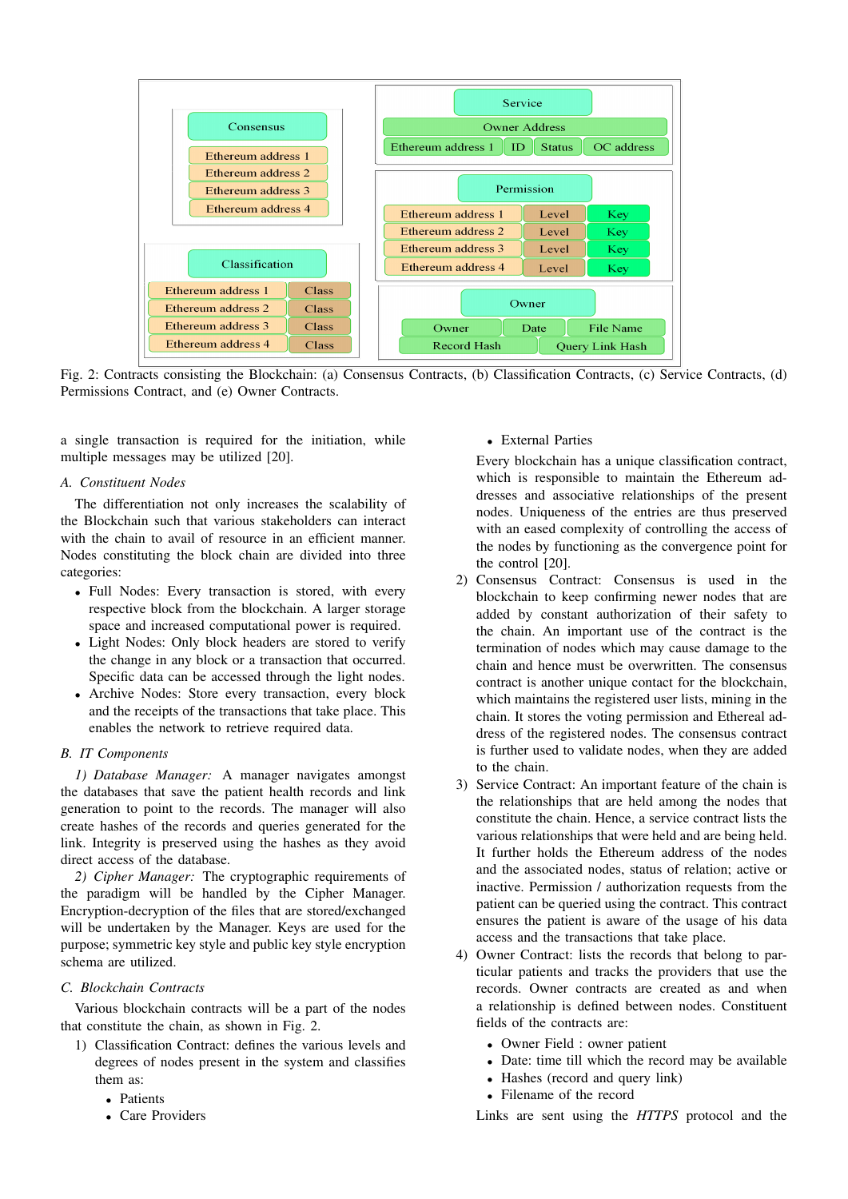

Fig. 2: Contracts consisting the Blockchain: (a) Consensus Contracts, (b) Classification Contracts, (c) Service Contracts, (d) Permissions Contract, and (e) Owner Contracts.

a single transaction is required for the initiation, while multiple messages may be utilized [20].

## *A. Constituent Nodes*

The differentiation not only increases the scalability of the Blockchain such that various stakeholders can interact with the chain to avail of resource in an efficient manner. Nodes constituting the block chain are divided into three categories:

- *•* Full Nodes: Every transaction is stored, with every respective block from the blockchain. A larger storage space and increased computational power is required.
- *•* Light Nodes: Only block headers are stored to verify the change in any block or a transaction that occurred. Specific data can be accessed through the light nodes.
- *•* Archive Nodes: Store every transaction, every block and the receipts of the transactions that take place. This enables the network to retrieve required data.

# *B. IT Components*

*1) Database Manager:* A manager navigates amongst the databases that save the patient health records and link generation to point to the records. The manager will also create hashes of the records and queries generated for the link. Integrity is preserved using the hashes as they avoid direct access of the database.

*2) Cipher Manager:* The cryptographic requirements of the paradigm will be handled by the Cipher Manager. Encryption-decryption of the files that are stored/exchanged will be undertaken by the Manager. Keys are used for the purpose; symmetric key style and public key style encryption schema are utilized.

## *C. Blockchain Contracts*

Various blockchain contracts will be a part of the nodes that constitute the chain, as shown in Fig. 2.

- 1) Classification Contract: defines the various levels and degrees of nodes present in the system and classifies them as:
	- *•* Patients
	- *•* Care Providers

## *•* External Parties

Every blockchain has a unique classification contract, which is responsible to maintain the Ethereum addresses and associative relationships of the present nodes. Uniqueness of the entries are thus preserved with an eased complexity of controlling the access of the nodes by functioning as the convergence point for the control [20].

- 2) Consensus Contract: Consensus is used in the blockchain to keep confirming newer nodes that are added by constant authorization of their safety to the chain. An important use of the contract is the termination of nodes which may cause damage to the chain and hence must be overwritten. The consensus contract is another unique contact for the blockchain, which maintains the registered user lists, mining in the chain. It stores the voting permission and Ethereal address of the registered nodes. The consensus contract is further used to validate nodes, when they are added to the chain.
- 3) Service Contract: An important feature of the chain is the relationships that are held among the nodes that constitute the chain. Hence, a service contract lists the various relationships that were held and are being held. It further holds the Ethereum address of the nodes and the associated nodes, status of relation; active or inactive. Permission / authorization requests from the patient can be queried using the contract. This contract ensures the patient is aware of the usage of his data access and the transactions that take place.
- 4) Owner Contract: lists the records that belong to particular patients and tracks the providers that use the records. Owner contracts are created as and when a relationship is defined between nodes. Constituent fields of the contracts are:
	- *•* Owner Field : owner patient
	- *•* Date: time till which the record may be available
	- *•* Hashes (record and query link)
	- *•* Filename of the record

Links are sent using the *HTTPS* protocol and the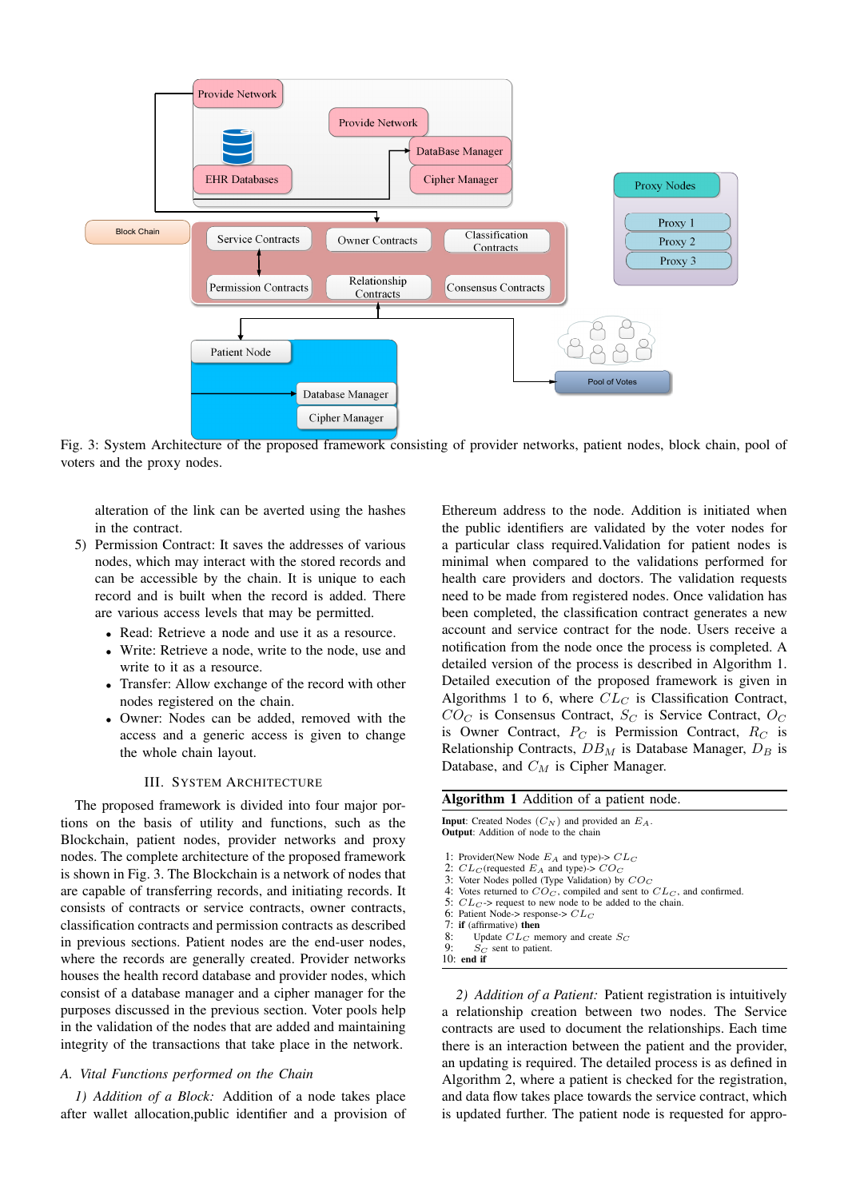

Fig. 3: System Architecture of the proposed framework consisting of provider networks, patient nodes, block chain, pool of voters and the proxy nodes.

alteration of the link can be averted using the hashes in the contract.

- 5) Permission Contract: It saves the addresses of various nodes, which may interact with the stored records and can be accessible by the chain. It is unique to each record and is built when the record is added. There are various access levels that may be permitted.
	- Read: Retrieve a node and use it as a resource.
	- Write: Retrieve a node, write to the node, use and write to it as a resource.
	- *•* Transfer: Allow exchange of the record with other nodes registered on the chain.
	- *•* Owner: Nodes can be added, removed with the access and a generic access is given to change the whole chain layout.

#### III. SYSTEM ARCHITECTURE

The proposed framework is divided into four major portions on the basis of utility and functions, such as the Blockchain, patient nodes, provider networks and proxy nodes. The complete architecture of the proposed framework is shown in Fig. 3. The Blockchain is a network of nodes that are capable of transferring records, and initiating records. It consists of contracts or service contracts, owner contracts, classification contracts and permission contracts as described in previous sections. Patient nodes are the end-user nodes, where the records are generally created. Provider networks houses the health record database and provider nodes, which consist of a database manager and a cipher manager for the purposes discussed in the previous section. Voter pools help in the validation of the nodes that are added and maintaining integrity of the transactions that take place in the network.

#### *A. Vital Functions performed on the Chain*

*1) Addition of a Block:* Addition of a node takes place after wallet allocation,public identifier and a provision of Ethereum address to the node. Addition is initiated when the public identifiers are validated by the voter nodes for a particular class required.Validation for patient nodes is minimal when compared to the validations performed for health care providers and doctors. The validation requests need to be made from registered nodes. Once validation has been completed, the classification contract generates a new account and service contract for the node. Users receive a notification from the node once the process is completed. A detailed version of the process is described in Algorithm 1. Detailed execution of the proposed framework is given in Algorithms 1 to 6, where *CL<sup>C</sup>* is Classification Contract,  $CO_C$  is Consensus Contract,  $S_C$  is Service Contract,  $O_C$ is Owner Contract, *P<sup>C</sup>* is Permission Contract, *R<sup>C</sup>* is Relationship Contracts, *DB<sup>M</sup>* is Database Manager, *D<sup>B</sup>* is Database, and *C<sup>M</sup>* is Cipher Manager.

|              | <b>Input:</b> Created Nodes $(C_N)$ and provided an $E_A$ .<br><b>Output:</b> Addition of node to the chain |
|--------------|-------------------------------------------------------------------------------------------------------------|
|              | 1: Provider(New Node $E_A$ and type)-> $CL_C$                                                               |
|              | 2: $CL_C$ (requested $E_A$ and type)-> $CO_C$                                                               |
|              | 3: Voter Nodes polled (Type Validation) by $COC$                                                            |
|              | 4: Votes returned to $CO_C$ , compiled and sent to $CL_C$ , and confirmed.                                  |
|              | 5: $CL_C$ > request to new node to be added to the chain.                                                   |
|              | 6: Patient Node-> response-> $CL_C$                                                                         |
|              | 7: if (affirmative) then                                                                                    |
|              | 8: Update $CL_C$ memory and create $S_C$                                                                    |
| 9:           | $S_{\text{C}}$ sent to patient.                                                                             |
| $10:$ end if |                                                                                                             |

*2) Addition of a Patient:* Patient registration is intuitively a relationship creation between two nodes. The Service contracts are used to document the relationships. Each time there is an interaction between the patient and the provider, an updating is required. The detailed process is as defined in Algorithm 2, where a patient is checked for the registration, and data flow takes place towards the service contract, which is updated further. The patient node is requested for appro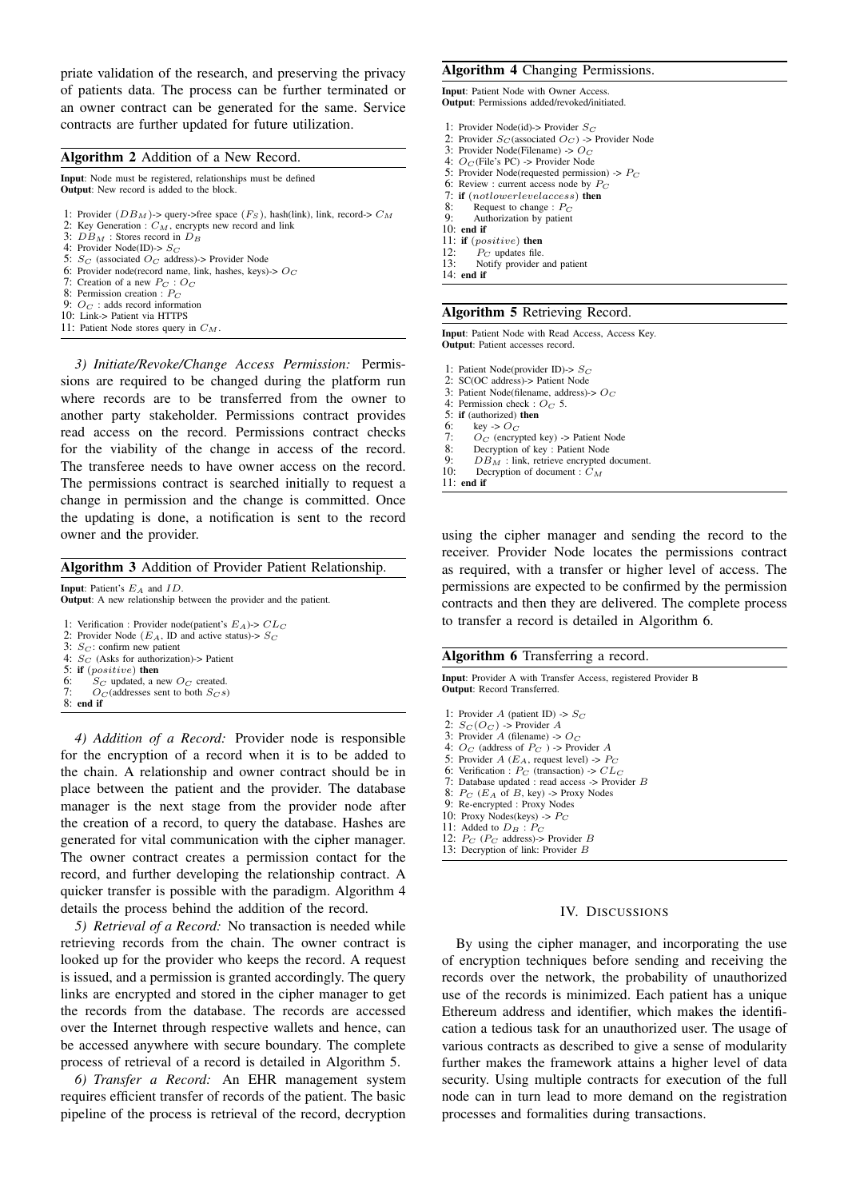priate validation of the research, and preserving the privacy of patients data. The process can be further terminated or an owner contract can be generated for the same. Service contracts are further updated for future utilization.

## Algorithm 2 Addition of a New Record.

Input: Node must be registered, relationships must be defined **Output:** New record is added to the block. 1: Provider  $(DB_M)$ -> query->free space  $(F_S)$ , hash(link), link, record->  $C_M$ 2: Key Generation : *CM*, encrypts new record and link 3:  $\overrightarrow{DB}_M$  : Stores record in  $\overrightarrow{D}_B$ 

- 4: Provider Node(ID)-> *S<sup>C</sup>*
- 5:  $S_C$  (associated  $O_C$  address)-> Provider Node
- 6: Provider node(record name, link, hashes, keys)-> *O<sup>C</sup>*
- 7: Creation of a new *P<sup>C</sup>* : *O<sup>C</sup>*
- 8: Permission creation : *P<sup>C</sup>*
- 9: *O<sup>C</sup>* : adds record information
- 10: Link-> Patient via HTTPS
- 11: Patient Node stores query in *CM*.

*3) Initiate/Revoke/Change Access Permission:* Permissions are required to be changed during the platform run where records are to be transferred from the owner to another party stakeholder. Permissions contract provides read access on the record. Permissions contract checks for the viability of the change in access of the record. The transferee needs to have owner access on the record. The permissions contract is searched initially to request a change in permission and the change is committed. Once the updating is done, a notification is sent to the record owner and the provider.

## Algorithm 3 Addition of Provider Patient Relationship.

Input: Patient's *E<sup>A</sup>* and *ID*. Output: A new relationship between the provider and the patient. 1: Verification : Provider node(patient's *EA*)-> *CL<sup>C</sup>* 2: Provider Node ( $E_A$ , ID and active status)->  $S_C$ 3: *S<sup>C</sup>* : confirm new patient 4: *S<sup>C</sup>* (Asks for authorization)-> Patient 5: if  $(positive)$  then<br>6:  $S_C$  updated, a n 6:  $S_C$  updated, a new  $O_C$  created.<br>7:  $O_C$  (addresses sent to both  $S_{CS}$ )  $O_C$  (addresses sent to both  $S_C s$ )  $8:$  end if

*4) Addition of a Record:* Provider node is responsible for the encryption of a record when it is to be added to the chain. A relationship and owner contract should be in place between the patient and the provider. The database manager is the next stage from the provider node after the creation of a record, to query the database. Hashes are generated for vital communication with the cipher manager. The owner contract creates a permission contact for the record, and further developing the relationship contract. A quicker transfer is possible with the paradigm. Algorithm 4 details the process behind the addition of the record.

*5) Retrieval of a Record:* No transaction is needed while retrieving records from the chain. The owner contract is looked up for the provider who keeps the record. A request is issued, and a permission is granted accordingly. The query links are encrypted and stored in the cipher manager to get the records from the database. The records are accessed over the Internet through respective wallets and hence, can be accessed anywhere with secure boundary. The complete process of retrieval of a record is detailed in Algorithm 5.

*6) Transfer a Record:* An EHR management system requires efficient transfer of records of the patient. The basic pipeline of the process is retrieval of the record, decryption

#### Algorithm 4 Changing Permissions.

Input: Patient Node with Owner Access. Output: Permissions added/revoked/initiated.

- 1: Provider Node(id)-> Provider *S<sup>C</sup>*
- 2: Provider  $S_C$  (associated  $O_C$ ) -> Provider Node
- 3: Provider Node(Filename) -> *O<sup>C</sup>*
- 4: *O<sup>C</sup>* (File's PC) -> Provider Node 5: Provider Node(requested permission) -> *P<sup>C</sup>*
- 6: Review : current access node by *P<sup>C</sup>*
- 
- 7: if  $(not lower level access)$  then<br>8: Request to change :  $P_C$ 8: Request to change : *P<sup>C</sup>*
- 9: Authorization by patient
- 10: end if
- 11: if (*positive*) then
- 
- 12:  $P_C$  updates file.<br>13: Notify provider Notify provider and patient
- 14: end if

## Algorithm 5 Retrieving Record.

Input: Patient Node with Read Access, Access Key. Output: Patient accesses record.

- 1: Patient Node(provider ID)-> *S<sup>C</sup>*
- 2: SC(OC address)-> Patient Node
- 3: Patient Node(filename, address)-> *O<sup>C</sup>* 4: Permission check : *O<sup>C</sup>* 5.
- 
- 5: if (authorized) then<br>6: key ->  $O_C$
- 6: key  $\rightarrow$   $O_C$ <br>7.  $O_C$  (encry)
- 7:  $O_C$  (encrypted key) -> Patient Node<br>8: Decryption of key : Patient Node
- 8: Decryption of key : Patient Node<br>9:  $DB_M$  : link, retrieve encrypted 9:  $DB_M^T$ : link, retrieve encrypted document.<br>10: Decryption of document.  $CA$
- Decryption of document :  $C_M$
- 11: end if

using the cipher manager and sending the record to the receiver. Provider Node locates the permissions contract as required, with a transfer or higher level of access. The permissions are expected to be confirmed by the permission contracts and then they are delivered. The complete process to transfer a record is detailed in Algorithm 6.

#### Algorithm 6 Transferring a record.

Input: Provider A with Transfer Access, registered Provider B Output: Record Transferred.

- 1: Provider *A* (patient ID) -> *S<sup>C</sup>*
- 2: *S<sup>C</sup>* (*O<sup>C</sup>* ) -> Provider *A* 3: Provider *A* (filename) ->  $O_C$
- 4:  $O_C$  (address of  $P_C$ ) -> Provider *A*
- 5: Provider  $A(E_A, \text{ request level})$  ->  $P_C$
- 6: Verification :  $P_C$  (transaction) ->  $CL_C$
- 7: Database updated : read access -> Provider *B*
- 8: *P<sup>C</sup>* (*E<sup>A</sup>* of *B*, key) -> Proxy Nodes
- 9: Re-encrypted : Proxy Nodes 10: Proxy Nodes(keys)  $\rightarrow$   $P_C$
- 11: Added to  $D_B$  :  $P_C$
- 12: *P<sup>C</sup>* (*P<sup>C</sup>* address)-> Provider *B*
- 13: Decryption of link: Provider *B*

#### IV. DISCUSSIONS

By using the cipher manager, and incorporating the use of encryption techniques before sending and receiving the records over the network, the probability of unauthorized use of the records is minimized. Each patient has a unique Ethereum address and identifier, which makes the identification a tedious task for an unauthorized user. The usage of various contracts as described to give a sense of modularity further makes the framework attains a higher level of data security. Using multiple contracts for execution of the full node can in turn lead to more demand on the registration processes and formalities during transactions.